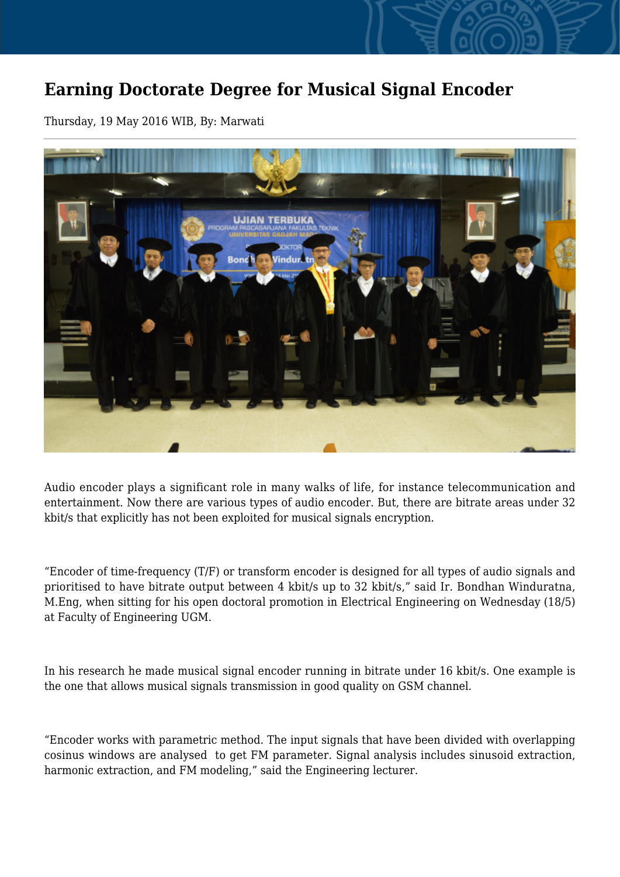## **Earning Doctorate Degree for Musical Signal Encoder**

Thursday, 19 May 2016 WIB, By: Marwati



Audio encoder plays a significant role in many walks of life, for instance telecommunication and entertainment. Now there are various types of audio encoder. But, there are bitrate areas under 32 kbit/s that explicitly has not been exploited for musical signals encryption.

"Encoder of time-frequency (T/F) or transform encoder is designed for all types of audio signals and prioritised to have bitrate output between 4 kbit/s up to 32 kbit/s," said Ir. Bondhan Winduratna, M.Eng, when sitting for his open doctoral promotion in Electrical Engineering on Wednesday (18/5) at Faculty of Engineering UGM.

In his research he made musical signal encoder running in bitrate under 16 kbit/s. One example is the one that allows musical signals transmission in good quality on GSM channel.

"Encoder works with parametric method. The input signals that have been divided with overlapping cosinus windows are analysed to get FM parameter. Signal analysis includes sinusoid extraction, harmonic extraction, and FM modeling," said the Engineering lecturer.